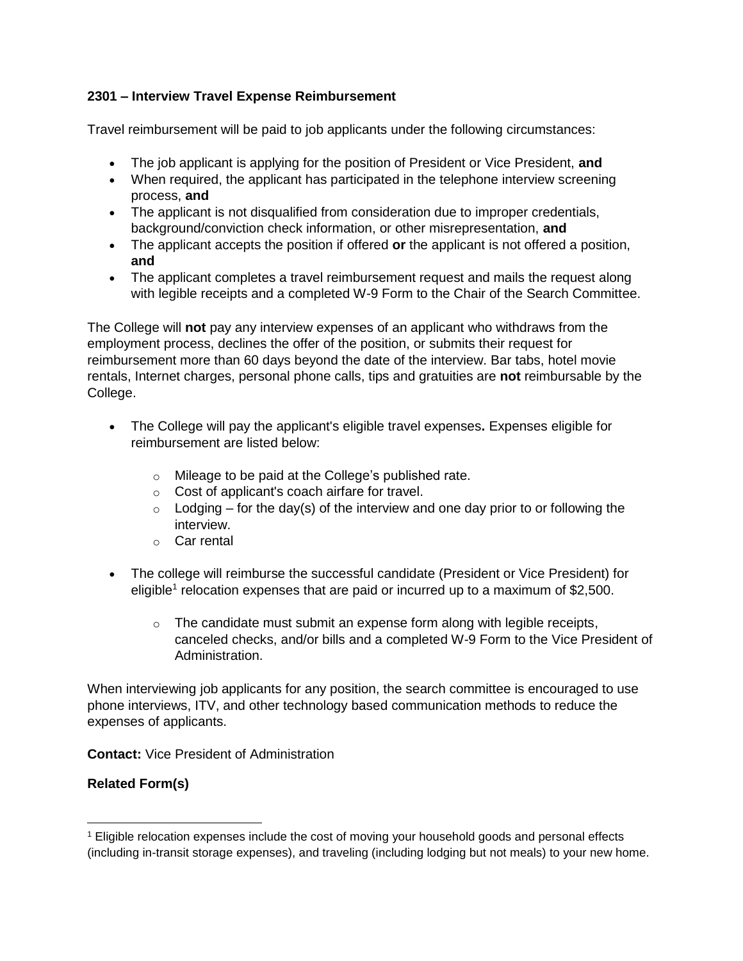## **2301 – Interview Travel Expense Reimbursement**

Travel reimbursement will be paid to job applicants under the following circumstances:

- The job applicant is applying for the position of President or Vice President, **and**
- When required, the applicant has participated in the telephone interview screening process, **and**
- The applicant is not disqualified from consideration due to improper credentials, background/conviction check information, or other misrepresentation, **and**
- The applicant accepts the position if offered **or** the applicant is not offered a position, **and**
- The applicant completes a travel reimbursement request and mails the request along with legible receipts and a completed W-9 Form to the Chair of the Search Committee.

The College will **not** pay any interview expenses of an applicant who withdraws from the employment process, declines the offer of the position, or submits their request for reimbursement more than 60 days beyond the date of the interview. Bar tabs, hotel movie rentals, Internet charges, personal phone calls, tips and gratuities are **not** reimbursable by the College.

- The College will pay the applicant's eligible travel expenses**.** Expenses eligible for reimbursement are listed below:
	- o Mileage to be paid at the College's published rate.
	- o Cost of applicant's coach airfare for travel.
	- $\circ$  Lodging for the day(s) of the interview and one day prior to or following the interview.
	- o Car rental
- The college will reimburse the successful candidate (President or Vice President) for eligible<sup>1</sup> relocation expenses that are paid or incurred up to a maximum of \$2,500.
	- $\circ$  The candidate must submit an expense form along with legible receipts, canceled checks, and/or bills and a completed W-9 Form to the Vice President of Administration.

When interviewing job applicants for any position, the search committee is encouraged to use phone interviews, ITV, and other technology based communication methods to reduce the expenses of applicants.

**Contact:** Vice President of Administration

## **Related Form(s)**

l

<sup>1</sup> Eligible relocation expenses include the cost of moving your household goods and personal effects (including in-transit storage expenses), and traveling (including lodging but not meals) to your new home.